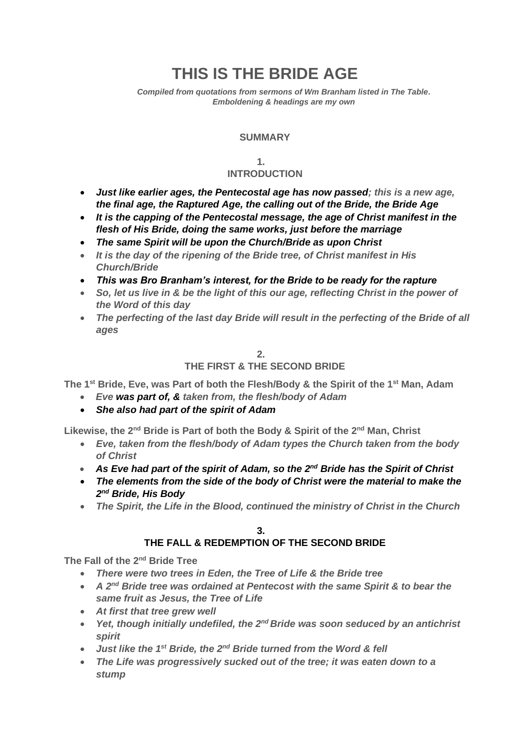# **THIS IS THE BRIDE AGE**

*Compiled from quotations from sermons of Wm Branham listed in The Table. Emboldening & headings are my own*

#### **SUMMARY**

#### **1.**

## **INTRODUCTION**

- *Just like earlier ages, the Pentecostal age has now passed; this is a new age, the final age, the Raptured Age, the calling out of the Bride, the Bride Age*
- *It is the capping of the Pentecostal message, the age of Christ manifest in the flesh of His Bride, doing the same works, just before the marriage*
- *The same Spirit will be upon the Church/Bride as upon Christ*
- *It is the day of the ripening of the Bride tree, of Christ manifest in His Church/Bride*
- *This was Bro Branham's interest, for the Bride to be ready for the rapture*
- *So, let us live in & be the light of this our age, reflecting Christ in the power of the Word of this day*
- *The perfecting of the last day Bride will result in the perfecting of the Bride of all ages*

#### **2. THE FIRST & THE SECOND BRIDE**

**The 1st Bride, Eve, was Part of both the Flesh/Body & the Spirit of the 1st Man, Adam**

- *Eve was part of, & taken from, the flesh/body of Adam*
- *She also had part of the spirit of Adam*

**Likewise, the 2nd Bride is Part of both the Body & Spirit of the 2nd Man, Christ**

- *Eve, taken from the flesh/body of Adam types the Church taken from the body of Christ*
- *As Eve had part of the spirit of Adam, so the 2nd Bride has the Spirit of Christ*
- *The elements from the side of the body of Christ were the material to make the 2 nd Bride, His Body*
- *The Spirit, the Life in the Blood, continued the ministry of Christ in the Church*

#### **3.**

## **THE FALL & REDEMPTION OF THE SECOND BRIDE**

**The Fall of the 2nd Bride Tree**

- *There were two trees in Eden, the Tree of Life & the Bride tree*
- *A 2nd Bride tree was ordained at Pentecost with the same Spirit & to bear the same fruit as Jesus, the Tree of Life*
- *At first that tree grew well*
- Yet, though initially undefiled, the 2<sup>nd</sup> Bride was soon seduced by an antichrist *spirit*
- *Just like the 1st Bride, the 2nd Bride turned from the Word & fell*
- *The Life was progressively sucked out of the tree; it was eaten down to a stump*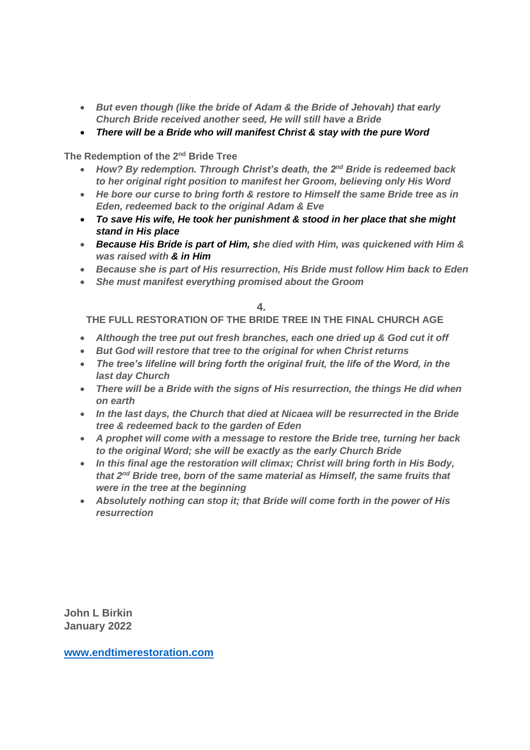- *But even though (like the bride of Adam & the Bride of Jehovah) that early Church Bride received another seed, He will still have a Bride*
- *There will be a Bride who will manifest Christ & stay with the pure Word*

**The Redemption of the 2nd Bride Tree**

- *How? By redemption. Through Christ's death, the 2nd Bride is redeemed back to her original right position to manifest her Groom, believing only His Word*
- *He bore our curse to bring forth & restore to Himself the same Bride tree as in Eden, redeemed back to the original Adam & Eve*
- *To save His wife, He took her punishment & stood in her place that she might stand in His place*
- *Because His Bride is part of Him, she died with Him, was quickened with Him & was raised with & in Him*
- *Because she is part of His resurrection, His Bride must follow Him back to Eden*
- *She must manifest everything promised about the Groom*

#### **4.**

**THE FULL RESTORATION OF THE BRIDE TREE IN THE FINAL CHURCH AGE**

- *Although the tree put out fresh branches, each one dried up & God cut it off*
- *But God will restore that tree to the original for when Christ returns*
- *The tree's lifeline will bring forth the original fruit, the life of the Word, in the last day Church*
- *There will be a Bride with the signs of His resurrection, the things He did when on earth*
- *In the last days, the Church that died at Nicaea will be resurrected in the Bride tree & redeemed back to the garden of Eden*
- *A prophet will come with a message to restore the Bride tree, turning her back to the original Word; she will be exactly as the early Church Bride*
- *In this final age the restoration will climax; Christ will bring forth in His Body, that 2nd Bride tree, born of the same material as Himself, the same fruits that were in the tree at the beginning*
- *Absolutely nothing can stop it; that Bride will come forth in the power of His resurrection*

**John L Birkin January 2022**

**[www.endtimerestoration.com](http://www.endtimerestoration.com/)**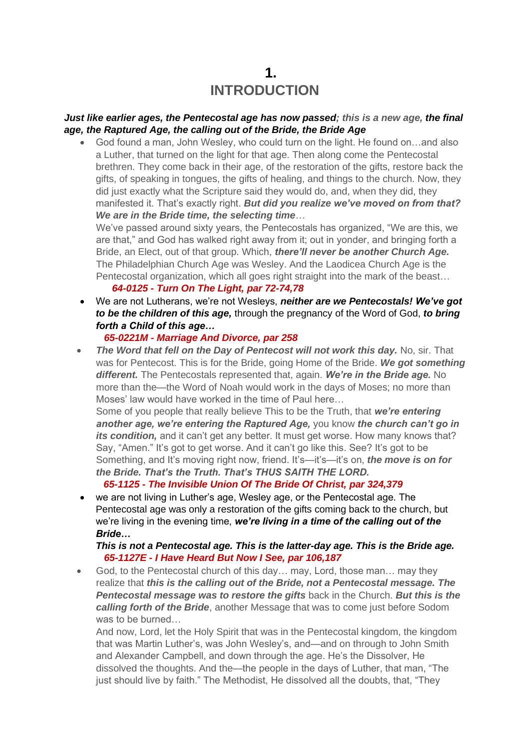## **1. INTRODUCTION**

#### *Just like earlier ages, the Pentecostal age has now passed; this is a new age, the final age, the Raptured Age, the calling out of the Bride, the Bride Age*

• God found a man, John Wesley, who could turn on the light. He found on…and also a Luther, that turned on the light for that age. Then along come the Pentecostal brethren. They come back in their age, of the restoration of the gifts, restore back the gifts, of speaking in tongues, the gifts of healing, and things to the church. Now, they did just exactly what the Scripture said they would do, and, when they did, they manifested it. That's exactly right. *But did you realize we've moved on from that? We are in the Bride time, the selecting time*…

We've passed around sixty years, the Pentecostals has organized, "We are this, we are that," and God has walked right away from it; out in yonder, and bringing forth a Bride, an Elect, out of that group. Which, *there'll never be another Church Age.* The Philadelphian Church Age was Wesley. And the Laodicea Church Age is the Pentecostal organization, which all goes right straight into the mark of the beast… *64-0125 - Turn On The Light, par 72-74,78*

• We are not Lutherans, we're not Wesleys, *neither are we Pentecostals! We've got to be the children of this age,* through the pregnancy of the Word of God, *to bring forth a Child of this age…*

## *65-0221M - Marriage And Divorce, par 258*

**The Word that fell on the Day of Pentecost will not work this day.** No, sir. That was for Pentecost. This is for the Bride, going Home of the Bride. *We got something different.* The Pentecostals represented that, again. *We're in the Bride age.* No more than the—the Word of Noah would work in the days of Moses; no more than Moses' law would have worked in the time of Paul here…

Some of you people that really believe This to be the Truth, that *we're entering another age, we're entering the Raptured Age,* you know *the church can't go in its condition*, and it can't get any better. It must get worse. How many knows that? Say, "Amen." It's got to get worse. And it can't go like this. See? It's got to be Something, and It's moving right now, friend. It's—it's—it's on, *the move is on for the Bride. That's the Truth. That's THUS SAITH THE LORD.*

## *65-1125 - The Invisible Union Of The Bride Of Christ, par 324,379*

• we are not living in Luther's age, Wesley age, or the Pentecostal age. The Pentecostal age was only a restoration of the gifts coming back to the church, but we're living in the evening time, *we're living in a time of the calling out of the Bride…*

#### *This is not a Pentecostal age. This is the latter-day age. This is the Bride age. 65-1127E - I Have Heard But Now I See, par 106,187*

• God, to the Pentecostal church of this day... may, Lord, those man... may they realize that *this is the calling out of the Bride, not a Pentecostal message. The Pentecostal message was to restore the gifts* back in the Church. *But this is the calling forth of the Bride*, another Message that was to come just before Sodom was to be burned…

And now, Lord, let the Holy Spirit that was in the Pentecostal kingdom, the kingdom that was Martin Luther's, was John Wesley's, and—and on through to John Smith and Alexander Campbell, and down through the age. He's the Dissolver, He dissolved the thoughts. And the—the people in the days of Luther, that man, "The just should live by faith." The Methodist, He dissolved all the doubts, that, "They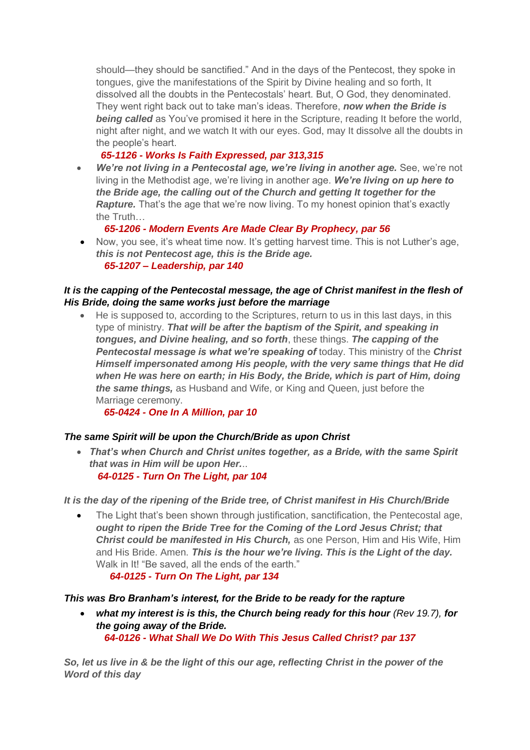should—they should be sanctified." And in the days of the Pentecost, they spoke in tongues, give the manifestations of the Spirit by Divine healing and so forth, It dissolved all the doubts in the Pentecostals' heart. But, O God, they denominated. They went right back out to take man's ideas. Therefore, *now when the Bride is*  **being called** as You've promised it here in the Scripture, reading It before the world, night after night, and we watch It with our eyes. God, may It dissolve all the doubts in the people's heart.

## *65-1126 - Works Is Faith Expressed, par 313,315*

• *We're not living in a Pentecostal age, we're living in another age.* See, we're not living in the Methodist age, we're living in another age. *We're living on up here to the Bride age, the calling out of the Church and getting It together for the*  **Rapture.** That's the age that we're now living. To my honest opinion that's exactly the Truth…

## *65-1206 - Modern Events Are Made Clear By Prophecy, par 56*

• Now, you see, it's wheat time now. It's getting harvest time. This is not Luther's age, *this is not Pentecost age, this is the Bride age. 65-1207 – Leadership, par 140*

## *It is the capping of the Pentecostal message, the age of Christ manifest in the flesh of His Bride, doing the same works just before the marriage*

• He is supposed to, according to the Scriptures, return to us in this last days, in this type of ministry. *That will be after the baptism of the Spirit, and speaking in tongues, and Divine healing, and so forth*, these things. *The capping of the Pentecostal message is what we're speaking of* today. This ministry of the *Christ Himself impersonated among His people, with the very same things that He did when He was here on earth; in His Body, the Bride, which is part of Him, doing the same things,* as Husband and Wife, or King and Queen, just before the Marriage ceremony.

 *65-0424 - One In A Million, par 10*

## *The same Spirit will be upon the Church/Bride as upon Christ*

• *That's when Church and Christ unites together, as a Bride, with the same Spirit that was in Him will be upon Her.*..  *64-0125 - Turn On The Light, par 104*

*It is the day of the ripening of the Bride tree, of Christ manifest in His Church/Bride*

• The Light that's been shown through justification, sanctification, the Pentecostal age, *ought to ripen the Bride Tree for the Coming of the Lord Jesus Christ; that Christ could be manifested in His Church,* as one Person, Him and His Wife, Him and His Bride. Amen. *This is the hour we're living. This is the Light of the day.* Walk in It! "Be saved, all the ends of the earth."

*64-0125 - Turn On The Light, par 134*

## *This was Bro Branham's interest, for the Bride to be ready for the rapture*

• *what my interest is is this, the Church being ready for this hour (Rev 19.7), for the going away of the Bride. 64-0126 - What Shall We Do With This Jesus Called Christ? par 137*

*So, let us live in & be the light of this our age, reflecting Christ in the power of the Word of this day*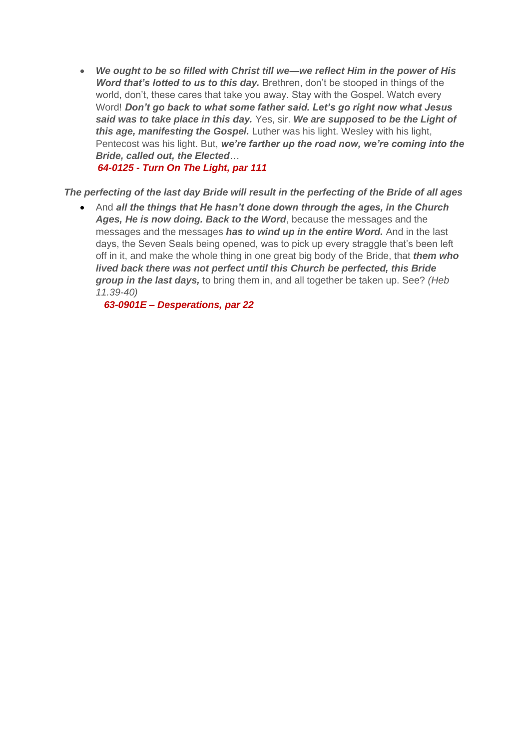• *We ought to be so filled with Christ till we—we reflect Him in the power of His Word that's lotted to us to this day.* Brethren, don't be stooped in things of the world, don't, these cares that take you away. Stay with the Gospel. Watch every Word! *Don't go back to what some father said. Let's go right now what Jesus said was to take place in this day.* Yes, sir. *We are supposed to be the Light of this age, manifesting the Gospel.* Luther was his light. Wesley with his light, Pentecost was his light. But, *we're farther up the road now, we're coming into the Bride, called out, the Elected*…

*64-0125 - Turn On The Light, par 111*

## *The perfecting of the last day Bride will result in the perfecting of the Bride of all ages*

• And *all the things that He hasn't done down through the ages, in the Church Ages, He is now doing. Back to the Word*, because the messages and the messages and the messages *has to wind up in the entire Word.* And in the last days, the Seven Seals being opened, was to pick up every straggle that's been left off in it, and make the whole thing in one great big body of the Bride, that *them who lived back there was not perfect until this Church be perfected, this Bride group in the last days,* to bring them in, and all together be taken up. See? *(Heb 11.39-40)*

 *63-0901E – Desperations, par 22*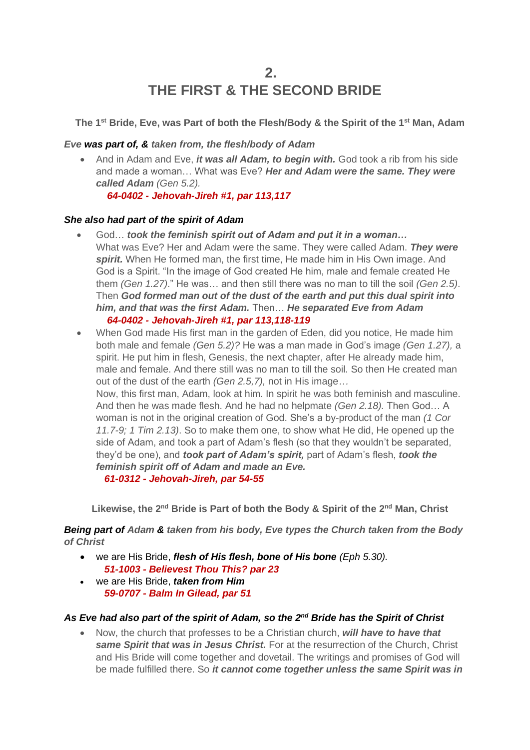## **2. THE FIRST & THE SECOND BRIDE**

**The 1 st Bride, Eve, was Part of both the Flesh/Body & the Spirit of the 1 st Man, Adam**

#### *Eve was part of, & taken from, the flesh/body of Adam*

• And in Adam and Eve, *it was all Adam, to begin with.* God took a rib from his side and made a woman… What was Eve? *Her and Adam were the same. They were called Adam (Gen 5.2).*

 *64-0402 - Jehovah-Jireh #1, par 113,117*

## *She also had part of the spirit of Adam*

- God… *took the feminish spirit out of Adam and put it in a woman…* What was Eve? Her and Adam were the same. They were called Adam. *They were spirit.* When He formed man, the first time, He made him in His Own image. And God is a Spirit. "In the image of God created He him, male and female created He them *(Gen 1.27)*." He was… and then still there was no man to till the soil *(Gen 2.5)*. Then *God formed man out of the dust of the earth and put this dual spirit into him, and that was the first Adam.* Then… *He separated Eve from Adam 64-0402 - Jehovah-Jireh #1, par 113,118-119*
- When God made His first man in the garden of Eden, did you notice, He made him both male and female *(Gen 5.2)?* He was a man made in God's image *(Gen 1.27),* a spirit. He put him in flesh, Genesis, the next chapter, after He already made him, male and female. And there still was no man to till the soil*.* So then He created man out of the dust of the earth *(Gen 2.5,7),* not in His image*…* Now, this first man, Adam, look at him. In spirit he was both feminish and masculine. And then he was made flesh. And he had no helpmate *(Gen 2.18).* Then God… A woman is not in the original creation of God. She's a by-product of the man *(1 Cor 11.7-9; 1 Tim 2.13)*. So to make them one, to show what He did, He opened up the side of Adam, and took a part of Adam's flesh (so that they wouldn't be separated, they'd be one), and *took part of Adam's spirit,* part of Adam's flesh, *took the feminish spirit off of Adam and made an Eve.*

 *61-0312 - Jehovah-Jireh, par 54-55*

Likewise, the 2<sup>nd</sup> Bride is Part of both the Body & Spirit of the 2<sup>nd</sup> Man, Christ

*Being part of Adam & taken from his body, Eve types the Church taken from the Body of Christ*

- we are His Bride, *flesh of His flesh, bone of His bone (Eph 5.30). 51-1003 - Believest Thou This? par 23*
- we are His Bride, *taken from Him 59-0707 - Balm In Gilead, par 51*

## As Eve had also part of the spirit of Adam, so the 2<sup>nd</sup> Bride has the Spirit of Christ

• Now, the church that professes to be a Christian church, *will have to have that same Spirit that was in Jesus Christ.* For at the resurrection of the Church, Christ and His Bride will come together and dovetail. The writings and promises of God will be made fulfilled there. So *it cannot come together unless the same Spirit was in*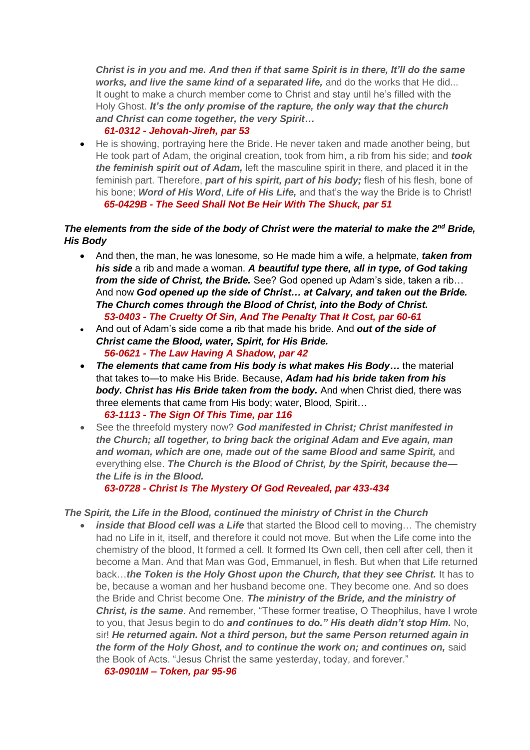*Christ is in you and me. And then if that same Spirit is in there, It'll do the same works, and live the same kind of a separated life,* and do the works that He did... It ought to make a church member come to Christ and stay until he's filled with the Holy Ghost. *It's the only promise of the rapture, the only way that the church and Christ can come together, the very Spirit…*

#### *61-0312 - Jehovah-Jireh, par 53*

• He is showing, portraying here the Bride. He never taken and made another being, but He took part of Adam, the original creation, took from him, a rib from his side; and *took the feminish spirit out of Adam,* left the masculine spirit in there, and placed it in the feminish part. Therefore, *part of his spirit, part of his body;* flesh of his flesh, bone of his bone; *Word of His Word*, *Life of His Life,* and that's the way the Bride is to Christ!  *65-0429B - The Seed Shall Not Be Heir With The Shuck, par 51*

## *The elements from the side of the body of Christ were the material to make the 2<sup>nd</sup> Bride, His Body*

- And then, the man, he was lonesome, so He made him a wife, a helpmate, *taken from his side* a rib and made a woman. *A beautiful type there, all in type, of God taking from the side of Christ, the Bride.* See? God opened up Adam's side, taken a rib… And now *God opened up the side of Christ… at Calvary, and taken out the Bride. The Church comes through the Blood of Christ, into the Body of Christ. 53-0403 - The Cruelty Of Sin, And The Penalty That It Cost, par 60-61*
- And out of Adam's side come a rib that made his bride. And *out of the side of Christ came the Blood, water, Spirit, for His Bride. 56-0621 - The Law Having A Shadow, par 42*
- *The elements that came from His body is what makes His Body…* the material that takes to—to make His Bride. Because, *Adam had his bride taken from his body. Christ has His Bride taken from the body.* And when Christ died, there was three elements that came from His body; water, Blood, Spirit…  *63-1113 - The Sign Of This Time, par 116*
- See the threefold mystery now? *God manifested in Christ; Christ manifested in the Church; all together, to bring back the original Adam and Eve again, man and woman, which are one, made out of the same Blood and same Spirit,* and everything else. *The Church is the Blood of Christ, by the Spirit, because the the Life is in the Blood.*

 *63-0728 - Christ Is The Mystery Of God Revealed, par 433-434*

#### *The Spirit, the Life in the Blood, continued the ministry of Christ in the Church*

• *inside that Blood cell was a Life* that started the Blood cell to moving… The chemistry had no Life in it, itself, and therefore it could not move. But when the Life come into the chemistry of the blood, It formed a cell. It formed Its Own cell, then cell after cell, then it become a Man. And that Man was God, Emmanuel, in flesh. But when that Life returned back…*the Token is the Holy Ghost upon the Church, that they see Christ.* It has to be, because a woman and her husband become one. They become one. And so does the Bride and Christ become One. *The ministry of the Bride, and the ministry of Christ, is the same*. And remember, "These former treatise, O Theophilus, have I wrote to you, that Jesus begin to do *and continues to do." His death didn't stop Him.* No, sir! *He returned again. Not a third person, but the same Person returned again in the form of the Holy Ghost, and to continue the work on; and continues on,* said the Book of Acts. "Jesus Christ the same yesterday, today, and forever."

 *63-0901M – Token, par 95-96*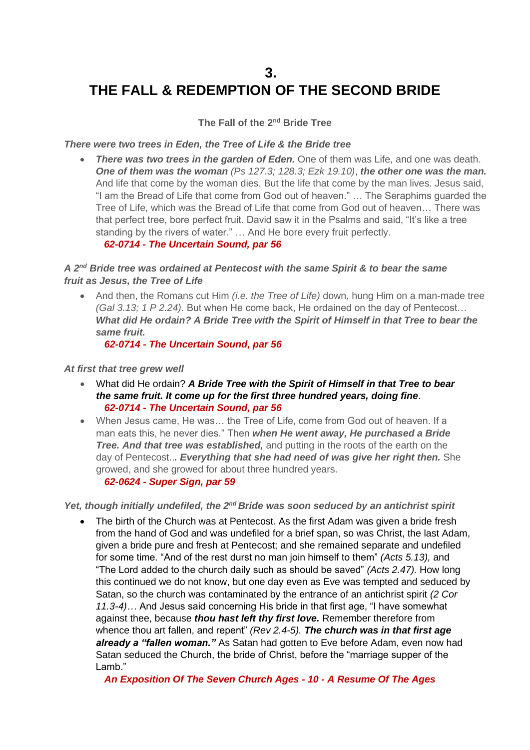## **3. THE FALL & REDEMPTION OF THE SECOND BRIDE**

## **The Fall of the 2<sup>nd</sup> Bride Tree**

*There were two trees in Eden, the Tree of Life & the Bride tree*

• *There was two trees in the garden of Eden.* One of them was Life, and one was death. *One of them was the woman (Ps 127.3; 128.3; Ezk 19.10)*, *the other one was the man.*  And life that come by the woman dies. But the life that come by the man lives. Jesus said, "I am the Bread of Life that come from God out of heaven." … The Seraphims guarded the Tree of Life, which was the Bread of Life that come from God out of heaven… There was that perfect tree, bore perfect fruit. David saw it in the Psalms and said, "It's like a tree standing by the rivers of water." … And He bore every fruit perfectly.

#### *62-0714 - The Uncertain Sound, par 56*

## A 2<sup>nd</sup> Bride tree was ordained at Pentecost with the same Spirit & to bear the same *fruit as Jesus, the Tree of Life*

• And then, the Romans cut Him *(i.e. the Tree of Life)* down, hung Him on a man-made tree *(Gal 3.13; 1 P 2.24)*. But when He come back, He ordained on the day of Pentecost… *What did He ordain? A Bride Tree with the Spirit of Himself in that Tree to bear the same fruit.* 

 *62-0714 - The Uncertain Sound, par 56*

#### *At first that tree grew well*

- What did He ordain? *A Bride Tree with the Spirit of Himself in that Tree to bear the same fruit. It come up for the first three hundred years, doing fine*.  *62-0714 - The Uncertain Sound, par 56*
- When Jesus came, He was… the Tree of Life, come from God out of heaven. If a man eats this, he never dies." Then *when He went away, He purchased a Bride Tree. And that tree was established,* and putting in the roots of the earth on the day of Pentecost..*. Everything that she had need of was give her right then.* She growed, and she growed for about three hundred years.  *62-0624 - Super Sign, par 59*

Yet, though initially undefiled, the 2<sup>nd</sup> Bride was soon seduced by an antichrist spirit

• The birth of the Church was at Pentecost. As the first Adam was given a bride fresh from the hand of God and was undefiled for a brief span, so was Christ, the last Adam, given a bride pure and fresh at Pentecost; and she remained separate and undefiled for some time. "And of the rest durst no man join himself to them" *(Acts 5.13),* and "The Lord added to the church daily such as should be saved" *(Acts 2.47).* How long this continued we do not know, but one day even as Eve was tempted and seduced by Satan, so the church was contaminated by the entrance of an antichrist spirit *(2 Cor 11.3-4)…* And Jesus said concerning His bride in that first age, "I have somewhat against thee, because *thou hast left thy first love.* Remember therefore from whence thou art fallen, and repent" *(Rev 2.4-5). The church was in that first age already a "fallen woman."* As Satan had gotten to Eve before Adam, even now had Satan seduced the Church, the bride of Christ, before the "marriage supper of the Lamb."

 *An Exposition Of The Seven Church Ages - 10 - A Resume Of The Ages*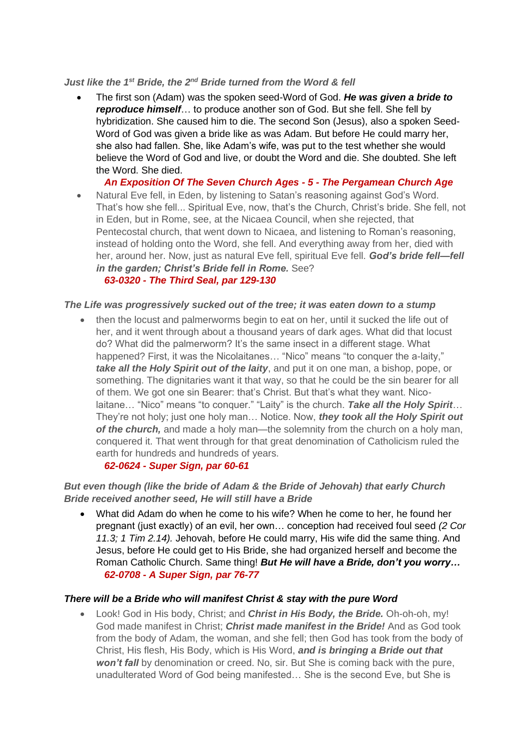#### *Just like the 1st Bride, the 2nd Bride turned from the Word & fell*

• The first son (Adam) was the spoken seed-Word of God. *He was given a bride to reproduce himself*… to produce another son of God. But she fell. She fell by hybridization. She caused him to die. The second Son (Jesus), also a spoken Seed-Word of God was given a bride like as was Adam. But before He could marry her, she also had fallen. She, like Adam's wife, was put to the test whether she would believe the Word of God and live, or doubt the Word and die. She doubted. She left the Word. She died.

 *An Exposition Of The Seven Church Ages - 5 - The Pergamean Church Age*

• Natural Eve fell, in Eden, by listening to Satan's reasoning against God's Word. That's how she fell... Spiritual Eve, now, that's the Church, Christ's bride. She fell, not in Eden, but in Rome, see, at the Nicaea Council, when she rejected, that Pentecostal church, that went down to Nicaea, and listening to Roman's reasoning, instead of holding onto the Word, she fell. And everything away from her, died with her, around her. Now, just as natural Eve fell, spiritual Eve fell. *God's bride fell—fell in the garden; Christ's Bride fell in Rome.* See?

## *63-0320 - The Third Seal, par 129-130*

#### *The Life was progressively sucked out of the tree; it was eaten down to a stump*

• then the locust and palmerworms begin to eat on her, until it sucked the life out of her, and it went through about a thousand years of dark ages. What did that locust do? What did the palmerworm? It's the same insect in a different stage. What happened? First, it was the Nicolaitanes... "Nico" means "to conquer the a-laity." *take all the Holy Spirit out of the laity*, and put it on one man, a bishop, pope, or something. The dignitaries want it that way, so that he could be the sin bearer for all of them. We got one sin Bearer: that's Christ. But that's what they want. Nicolaitane… "Nico" means "to conquer." "Laity" is the church. *Take all the Holy Spirit*… They're not holy; just one holy man… Notice. Now, *they took all the Holy Spirit out of the church,* and made a holy man—the solemnity from the church on a holy man, conquered it. That went through for that great denomination of Catholicism ruled the earth for hundreds and hundreds of years.

#### *62-0624 - Super Sign, par 60-61*

## *But even though (like the bride of Adam & the Bride of Jehovah) that early Church Bride received another seed, He will still have a Bride*

• What did Adam do when he come to his wife? When he come to her, he found her pregnant (just exactly) of an evil, her own… conception had received foul seed *(2 Cor 11.3; 1 Tim 2.14).* Jehovah, before He could marry, His wife did the same thing. And Jesus, before He could get to His Bride, she had organized herself and become the Roman Catholic Church. Same thing! *But He will have a Bride, don't you worry… 62-0708 - A Super Sign, par 76-77*

#### *There will be a Bride who will manifest Christ & stay with the pure Word*

• Look! God in His body, Christ; and *Christ in His Body, the Bride.* Oh-oh-oh, my! God made manifest in Christ; *Christ made manifest in the Bride!* And as God took from the body of Adam, the woman, and she fell; then God has took from the body of Christ, His flesh, His Body, which is His Word, *and is bringing a Bride out that won't fall* by denomination or creed. No, sir. But She is coming back with the pure, unadulterated Word of God being manifested… She is the second Eve, but She is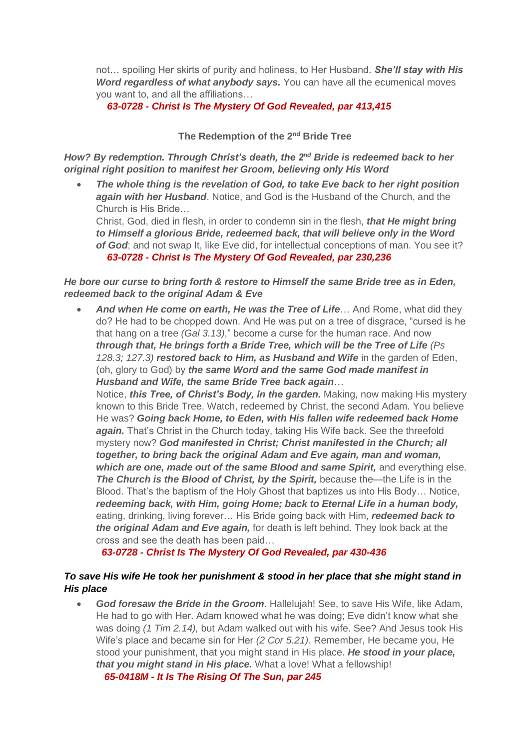not… spoiling Her skirts of purity and holiness, to Her Husband. *She'll stay with His Word regardless of what anybody says.* You can have all the ecumenical moves you want to, and all the affiliations…

## *63-0728 - Christ Is The Mystery Of God Revealed, par 413,415*

#### **The Redemption of the 2nd Bride Tree**

*How? By redemption. Through Christ's death, the 2nd Bride is redeemed back to her original right position to manifest her Groom, believing only His Word*

• *The whole thing is the revelation of God, to take Eve back to her right position again with her Husband*. Notice, and God is the Husband of the Church, and the Church is His Bride…

Christ, God, died in flesh, in order to condemn sin in the flesh, *that He might bring to Himself a glorious Bride, redeemed back, that will believe only in the Word of God*; and not swap It, like Eve did, for intellectual conceptions of man. You see it?  *63-0728 - Christ Is The Mystery Of God Revealed, par 230,236*

#### *He bore our curse to bring forth & restore to Himself the same Bride tree as in Eden, redeemed back to the original Adam & Eve*

• *And when He come on earth, He was the Tree of Life*… And Rome, what did they do? He had to be chopped down. And He was put on a tree of disgrace, "cursed is he that hang on a tree *(Gal 3.13)*," become a curse for the human race. And now *through that, He brings forth a Bride Tree, which will be the Tree of Life (Ps 128.3; 127.3) restored back to Him, as Husband and Wife* in the garden of Eden, (oh, glory to God) by *the same Word and the same God made manifest in Husband and Wife, the same Bride Tree back again*…

Notice, *this Tree, of Christ's Body, in the garden.* Making, now making His mystery known to this Bride Tree. Watch, redeemed by Christ, the second Adam. You believe He was? *Going back Home, to Eden, with His fallen wife redeemed back Home again.* That's Christ in the Church today, taking His Wife back. See the threefold mystery now? *God manifested in Christ; Christ manifested in the Church; all together, to bring back the original Adam and Eve again, man and woman, which are one, made out of the same Blood and same Spirit,* and everything else. **The Church is the Blood of Christ, by the Spirit,** because the—the Life is in the Blood. That's the baptism of the Holy Ghost that baptizes us into His Body… Notice, *redeeming back, with Him, going Home; back to Eternal Life in a human body,* eating, drinking, living forever… His Bride going back with Him, *redeemed back to the original Adam and Eve again,* for death is left behind. They look back at the cross and see the death has been paid…

 *63-0728 - Christ Is The Mystery Of God Revealed, par 430-436*

## *To save His wife He took her punishment & stood in her place that she might stand in His place*

• *God foresaw the Bride in the Groom*. Hallelujah! See, to save His Wife, like Adam, He had to go with Her. Adam knowed what he was doing; Eve didn't know what she was doing *(1 Tim 2.14),* but Adam walked out with his wife. See? And Jesus took His Wife's place and became sin for Her *(2 Cor 5.21).* Remember, He became you, He stood your punishment, that you might stand in His place. *He stood in your place, that you might stand in His place.* What a love! What a fellowship!

 *65-0418M - It Is The Rising Of The Sun, par 245*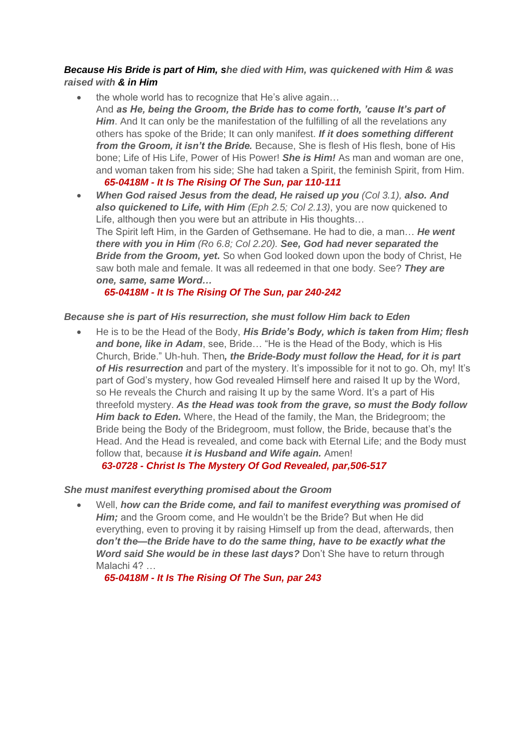#### *Because His Bride is part of Him, she died with Him, was quickened with Him & was raised with & in Him*

- the whole world has to recognize that He's alive again… And *as He, being the Groom, the Bride has to come forth, 'cause It's part of*  **Him**. And It can only be the manifestation of the fulfilling of all the revelations any others has spoke of the Bride; It can only manifest. *If it does something different from the Groom, it isn't the Bride.* Because, She is flesh of His flesh, bone of His bone; Life of His Life, Power of His Power! *She is Him!* As man and woman are one, and woman taken from his side; She had taken a Spirit, the feminish Spirit, from Him.  *65-0418M - It Is The Rising Of The Sun, par 110-111*
- *When God raised Jesus from the dead, He raised up you (Col 3.1), also. And also quickened to Life, with Him (Eph 2.5; Col 2.13)*, you are now quickened to Life, although then you were but an attribute in His thoughts… The Spirit left Him, in the Garden of Gethsemane. He had to die, a man… *He went there with you in Him (Ro 6.8; Col 2.20). See, God had never separated the Bride from the Groom, yet.* So when God looked down upon the body of Christ, He saw both male and female. It was all redeemed in that one body. See? *They are one, same, same Word…*

## *65-0418M - It Is The Rising Of The Sun, par 240-242*

#### *Because she is part of His resurrection, she must follow Him back to Eden*

• He is to be the Head of the Body, *His Bride's Body, which is taken from Him; flesh and bone, like in Adam*, see, Bride… "He is the Head of the Body, which is His Church, Bride." Uh-huh. Then*, the Bride-Body must follow the Head, for it is part of His resurrection* and part of the mystery. It's impossible for it not to go. Oh, my! It's part of God's mystery, how God revealed Himself here and raised It up by the Word, so He reveals the Church and raising It up by the same Word. It's a part of His threefold mystery. *As the Head was took from the grave, so must the Body follow Him back to Eden.* Where, the Head of the family, the Man, the Bridegroom; the Bride being the Body of the Bridegroom, must follow, the Bride, because that's the Head. And the Head is revealed, and come back with Eternal Life; and the Body must follow that, because *it is Husband and Wife again.* Amen!

 *63-0728 - Christ Is The Mystery Of God Revealed, par,506-517*

#### *She must manifest everything promised about the Groom*

• Well, *how can the Bride come, and fail to manifest everything was promised of Him;* and the Groom come, and He wouldn't be the Bride? But when He did everything, even to proving it by raising Himself up from the dead, afterwards, then *don't the—the Bride have to do the same thing, have to be exactly what the Word said She would be in these last days?* Don't She have to return through Malachi 4? …

 *65-0418M - It Is The Rising Of The Sun, par 243*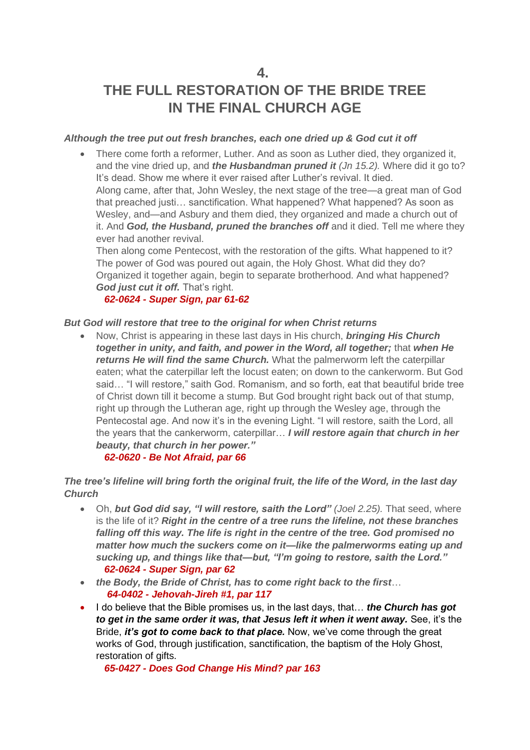**4.**

# **THE FULL RESTORATION OF THE BRIDE TREE IN THE FINAL CHURCH AGE**

## *Although the tree put out fresh branches, each one dried up & God cut it off*

• There come forth a reformer, Luther. And as soon as Luther died, they organized it, and the vine dried up, and *the Husbandman pruned it (Jn 15.2).* Where did it go to? It's dead. Show me where it ever raised after Luther's revival. It died. Along came, after that, John Wesley, the next stage of the tree—a great man of God that preached justi… sanctification. What happened? What happened? As soon as Wesley, and—and Asbury and them died, they organized and made a church out of it. And *God, the Husband, pruned the branches off* and it died. Tell me where they ever had another revival.

Then along come Pentecost, with the restoration of the gifts. What happened to it? The power of God was poured out again, the Holy Ghost. What did they do? Organized it together again, begin to separate brotherhood. And what happened? *God just cut it off.* That's right.

## *62-0624 - Super Sign, par 61-62*

## *But God will restore that tree to the original for when Christ returns*

• Now, Christ is appearing in these last days in His church, *bringing His Church together in unity, and faith, and power in the Word, all together;* that *when He returns He will find the same Church.* What the palmerworm left the caterpillar eaten; what the caterpillar left the locust eaten; on down to the cankerworm. But God said… "I will restore," saith God. Romanism, and so forth, eat that beautiful bride tree of Christ down till it become a stump. But God brought right back out of that stump, right up through the Lutheran age, right up through the Wesley age, through the Pentecostal age. And now it's in the evening Light. "I will restore, saith the Lord, all the years that the cankerworm, caterpillar… *I will restore again that church in her beauty, that church in her power."*

#### *62-0620 - Be Not Afraid, par 66*

*The tree's lifeline will bring forth the original fruit, the life of the Word, in the last day Church*

- Oh, *but God did say, "I will restore, saith the Lord" (Joel 2.25).* That seed, where is the life of it? *Right in the centre of a tree runs the lifeline, not these branches falling off this way. The life is right in the centre of the tree. God promised no matter how much the suckers come on it—like the palmerworms eating up and sucking up, and things like that—but, "I'm going to restore, saith the Lord." 62-0624 - Super Sign, par 62*
- *the Body, the Bride of Christ, has to come right back to the first*…  *64-0402 - Jehovah-Jireh #1, par 117*
- I do believe that the Bible promises us, in the last days, that… *the Church has got to get in the same order it was, that Jesus left it when it went away.* See, it's the Bride, *it's got to come back to that place.* Now, we've come through the great works of God, through justification, sanctification, the baptism of the Holy Ghost, restoration of gifts.

 *65-0427 - Does God Change His Mind? par 163*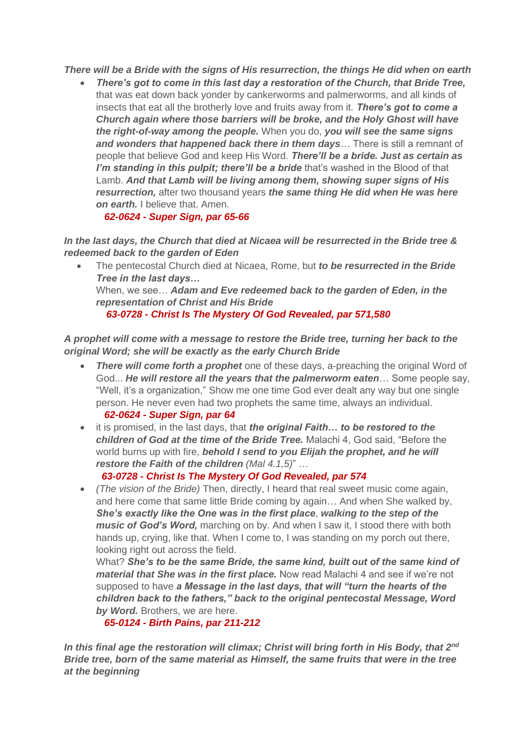*There will be a Bride with the signs of His resurrection, the things He did when on earth*

• *There's got to come in this last day a restoration of the Church, that Bride Tree,* that was eat down back yonder by cankerworms and palmerworms, and all kinds of insects that eat all the brotherly love and fruits away from it. *There's got to come a Church again where those barriers will be broke, and the Holy Ghost will have the right-of-way among the people.* When you do, *you will see the same signs and wonders that happened back there in them days*… There is still a remnant of people that believe God and keep His Word. *There'll be a bride. Just as certain as I'm standing in this pulpit; there'll be a bride* that's washed in the Blood of that Lamb. *And that Lamb will be living among them, showing super signs of His resurrection,* after two thousand years *the same thing He did when He was here on earth.* I believe that. Amen.

## *62-0624 - Super Sign, par 65-66*

*In the last days, the Church that died at Nicaea will be resurrected in the Bride tree & redeemed back to the garden of Eden*

• The pentecostal Church died at Nicaea, Rome, but *to be resurrected in the Bride Tree in the last days…*  When, we see… *Adam and Eve redeemed back to the garden of Eden, in the representation of Christ and His Bride 63-0728 - Christ Is The Mystery Of God Revealed, par 571,580*

*A prophet will come with a message to restore the Bride tree, turning her back to the original Word; she will be exactly as the early Church Bride*

- *There will come forth a prophet* one of these days, a-preaching the original Word of God... *He will restore all the years that the palmerworm eaten*… Some people say, "Well, it's a organization," Show me one time God ever dealt any way but one single person. He never even had two prophets the same time, always an individual.  *62-0624 - Super Sign, par 64*
- it is promised, in the last days, that *the original Faith… to be restored to the children of God at the time of the Bride Tree.* Malachi 4, God said, "Before the world burns up with fire, *behold I send to you Elijah the prophet, and he will restore the Faith of the children (Mal 4.1,5)*" …

#### *63-0728 - Christ Is The Mystery Of God Revealed, par 574*

• *(The vision of the Bride)* Then, directly, I heard that real sweet music come again, and here come that same little Bride coming by again… And when She walked by, *She's exactly like the One was in the first place*, *walking to the step of the music of God's Word,* marching on by. And when I saw it, I stood there with both hands up, crying, like that. When I come to, I was standing on my porch out there, looking right out across the field.

What? *She's to be the same Bride, the same kind, built out of the same kind of material that She was in the first place.* Now read Malachi 4 and see if we're not supposed to have *a Message in the last days, that will "turn the hearts of the children back to the fathers," back to the original pentecostal Message, Word by Word.* Brothers, we are here.

#### *65-0124 - Birth Pains, par 211-212*

*In this final age the restoration will climax; Christ will bring forth in His Body, that 2nd Bride tree, born of the same material as Himself, the same fruits that were in the tree at the beginning*